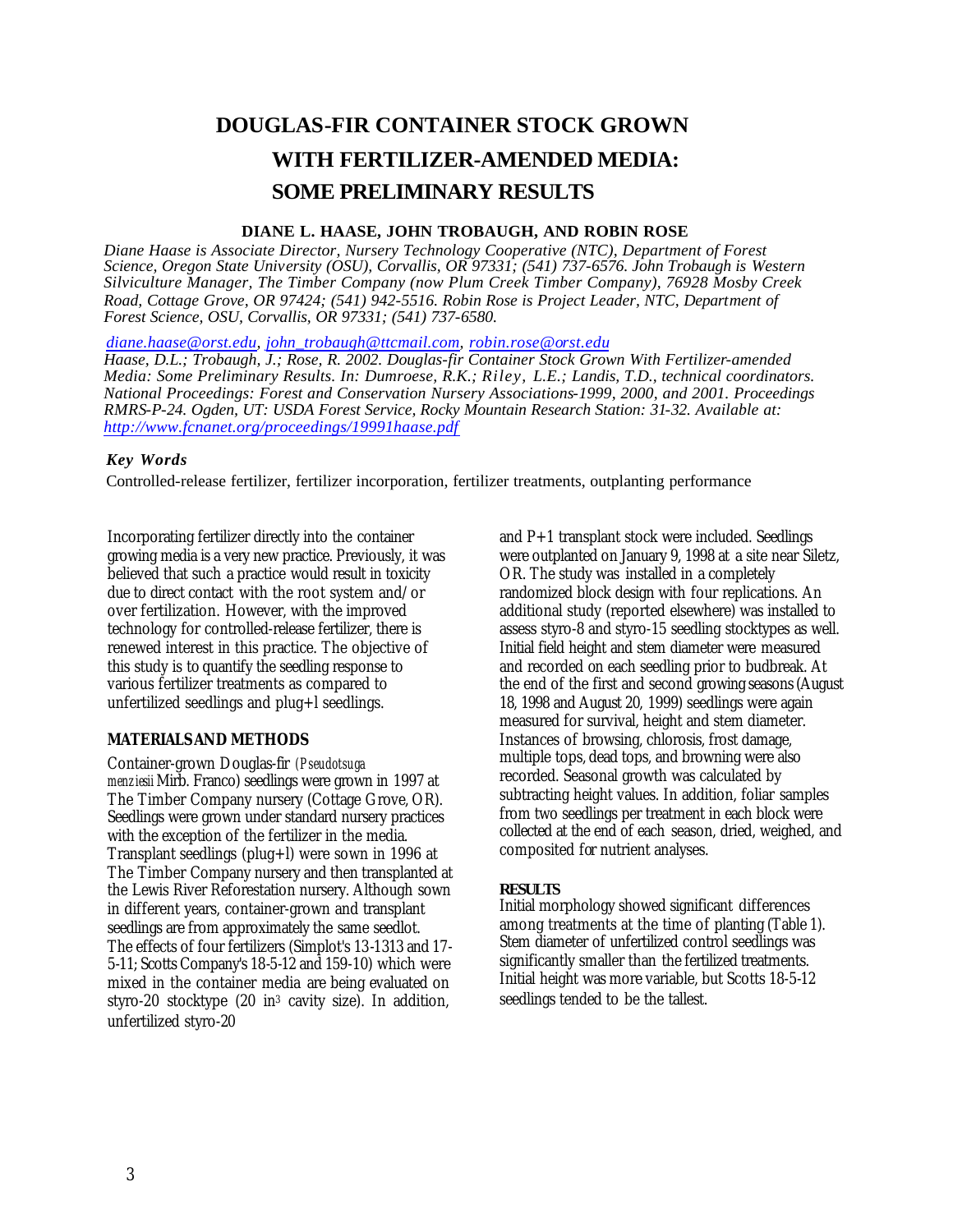# **DOUGLAS-FIR CONTAINER STOCK GROWN WITH FERTILIZER-AMENDED MEDIA: SOME PRELIMINARY RESULTS**

### **DIANE L. HAASE, JOHN TROBAUGH, AND ROBIN ROSE**

*Diane Haase is Associate Director, Nursery Technology Cooperative (NTC), Department of Forest Science, Oregon State University (OSU), Corvallis, OR 97331; (541) 737-6576. John Trobaugh is Western Silviculture Manager, The Timber Company (now Plum Creek Timber Company), 76928 Mosby Creek Road, Cottage Grove, OR 97424; (541) 942-5516. Robin Rose is Project Leader, NTC, Department of Forest Science, OSU, Corvallis, OR 97331; (541) 737-6580.*

*diane.haase@orst.edu, john\_trobaugh@ttcmail.com, robin.rose@orst.edu*

*Haase, D.L.; Trobaugh, J.; Rose, R. 2002. Douglas-fir Container Stock Grown With Fertilizer-amended Media: Some Preliminary Results. In: Dumroese, R.K.; Riley, L.E.; Landis, T.D., technical coordinators. National Proceedings: Forest and Conservation Nursery Associations-1999, 2000, and 2001. Proceedings RMRS-P-24. Ogden, UT: USDA Forest Service, Rocky Mountain Research Station: 31-32. Available at: http://www.fcnanet.org/proceedings/19991haase.pdf*

#### *Key Words*

Controlled-release fertilizer, fertilizer incorporation, fertilizer treatments, outplanting performance

Incorporating fertilizer directly into the container growing media is a very new practice. Previously, it was believed that such a practice would result in toxicity due to direct contact with the root system and/or over fertilization. However, with the improved technology for controlled-release fertilizer, there is renewed interest in this practice. The objective of this study is to quantify the seedling response to various fertilizer treatments as compared to unfertilized seedlings and plug+l seedlings.

#### **MATERIALS AND METHODS**

Container-grown Douglas-fir *(Pseudotsuga menziesii* Mirb. Franco) seedlings were grown in 1997 at The Timber Company nursery (Cottage Grove, OR). Seedlings were grown under standard nursery practices with the exception of the fertilizer in the media. Transplant seedlings (plug+l) were sown in 1996 at The Timber Company nursery and then transplanted at the Lewis River Reforestation nursery. Although sown in different years, container-grown and transplant seedlings are from approximately the same seedlot. The effects of four fertilizers (Simplot's 13-1313 and 17- 5-11; Scotts Company's 18-5-12 and 159-10) which were mixed in the container media are being evaluated on styro-20 stocktype (20 in<sup>3</sup> cavity size). In addition, unfertilized styro-20

and P+1 transplant stock were included. Seedlings were outplanted on January 9, 1998 at a site near Siletz, OR. The study was installed in a completely randomized block design with four replications. An additional study (reported elsewhere) was installed to assess styro-8 and styro-15 seedling stocktypes as well. Initial field height and stem diameter were measured and recorded on each seedling prior to budbreak. At the end of the first and second growing seasons (August 18, 1998 and August 20, 1999) seedlings were again measured for survival, height and stem diameter. Instances of browsing, chlorosis, frost damage, multiple tops, dead tops, and browning were also recorded. Seasonal growth was calculated by subtracting height values. In addition, foliar samples from two seedlings per treatment in each block were collected at the end of each season, dried, weighed, and composited for nutrient analyses.

## **RESULTS**

Initial morphology showed significant differences among treatments at the time of planting (Table 1). Stem diameter of unfertilized control seedlings was significantly smaller than the fertilized treatments. Initial height was more variable, but Scotts 18-5-12 seedlings tended to be the tallest.